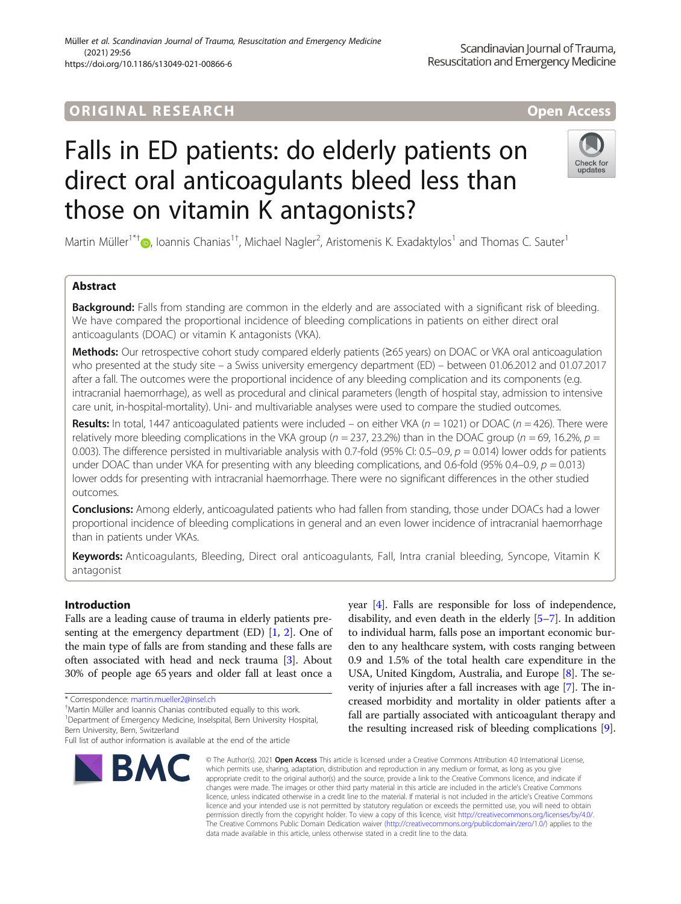## **ORIGINAL RESEARCH And Access** open Access

# Falls in ED patients: do elderly patients on direct oral anticoagulants bleed less than those on vitamin K antagonists?

Martin Müller<sup>1\*†</sup>®[,](http://orcid.org/0000-0003-4067-7174) Ioannis Chanias<sup>1†</sup>, Michael Nagler<sup>2</sup>, Aristomenis K. Exadaktylos<sup>1</sup> and Thomas C. Sauter<sup>1</sup>

## Abstract

Background: Falls from standing are common in the elderly and are associated with a significant risk of bleeding. We have compared the proportional incidence of bleeding complications in patients on either direct oral anticoagulants (DOAC) or vitamin K antagonists (VKA).

Methods: Our retrospective cohort study compared elderly patients (≥65 years) on DOAC or VKA oral anticoagulation who presented at the study site – a Swiss university emergency department (ED) – between 01.06.2012 and 01.07.2017 after a fall. The outcomes were the proportional incidence of any bleeding complication and its components (e.g. intracranial haemorrhage), as well as procedural and clinical parameters (length of hospital stay, admission to intensive care unit, in-hospital-mortality). Uni- and multivariable analyses were used to compare the studied outcomes.

Results: In total, 1447 anticoagulated patients were included – on either VKA ( $n = 1021$ ) or DOAC ( $n = 426$ ). There were relatively more bleeding complications in the VKA group ( $n = 237, 23.2%$ ) than in the DOAC group ( $n = 69, 16.2%$ ,  $p =$ 0.003). The difference persisted in multivariable analysis with 0.7-fold (95% CI: 0.5–0.9,  $p = 0.014$ ) lower odds for patients under DOAC than under VKA for presenting with any bleeding complications, and 0.6-fold (95% 0.4–0.9,  $p = 0.013$ ) lower odds for presenting with intracranial haemorrhage. There were no significant differences in the other studied outcomes.

Conclusions: Among elderly, anticoagulated patients who had fallen from standing, those under DOACs had a lower proportional incidence of bleeding complications in general and an even lower incidence of intracranial haemorrhage than in patients under VKAs.

Keywords: Anticoagulants, Bleeding, Direct oral anticoagulants, Fall, Intra cranial bleeding, Syncope, Vitamin K antagonist

## Introduction

Falls are a leading cause of trauma in elderly patients presenting at the emergency department (ED) [\[1,](#page-7-0) [2](#page-7-0)]. One of the main type of falls are from standing and these falls are often associated with head and neck trauma [[3\]](#page-7-0). About 30% of people age 65 years and older fall at least once a

Martin Müller and Ioannis Chanias contributed equally to this work.

<sup>1</sup>Department of Emergency Medicine, Inselspital, Bern University Hospital, Bern University, Bern, Switzerland

#### © The Author(s), 2021 **Open Access** This article is licensed under a Creative Commons Attribution 4.0 International License, which permits use, sharing, adaptation, distribution and reproduction in any medium or format, as long as you give appropriate credit to the original author(s) and the source, provide a link to the Creative Commons licence, and indicate if changes were made. The images or other third party material in this article are included in the article's Creative Commons licence, unless indicated otherwise in a credit line to the material. If material is not included in the article's Creative Commons licence and your intended use is not permitted by statutory regulation or exceeds the permitted use, you will need to obtain permission directly from the copyright holder. To view a copy of this licence, visit [http://creativecommons.org/licenses/by/4.0/.](http://creativecommons.org/licenses/by/4.0/) The Creative Commons Public Domain Dedication waiver [\(http://creativecommons.org/publicdomain/zero/1.0/](http://creativecommons.org/publicdomain/zero/1.0/)) applies to the data made available in this article, unless otherwise stated in a credit line to the data.

year [\[4\]](#page-7-0). Falls are responsible for loss of independence, disability, and even death in the elderly [\[5](#page-7-0)–[7](#page-7-0)]. In addition to individual harm, falls pose an important economic burden to any healthcare system, with costs ranging between 0.9 and 1.5% of the total health care expenditure in the USA, United Kingdom, Australia, and Europe [\[8\]](#page-7-0). The severity of injuries after a fall increases with age [\[7](#page-7-0)]. The increased morbidity and mortality in older patients after a fall are partially associated with anticoagulant therapy and the resulting increased risk of bleeding complications [[9](#page-7-0)].

**RMC** 







<sup>\*</sup> Correspondence: [martin.mueller2@insel.ch](mailto:martin.mueller2@insel.ch) †

Full list of author information is available at the end of the article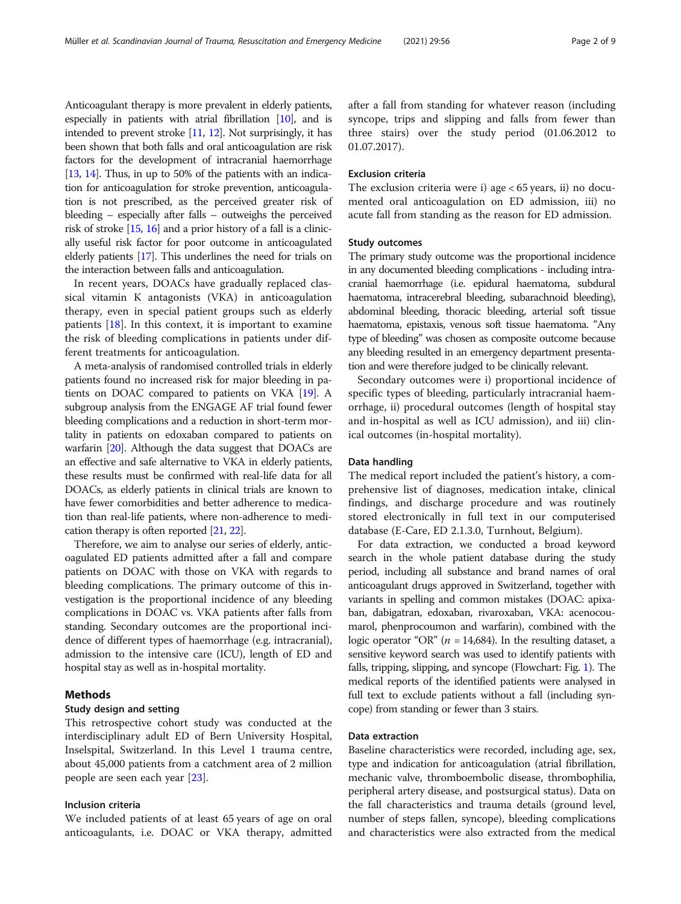Anticoagulant therapy is more prevalent in elderly patients, especially in patients with atrial fibrillation  $[10]$  $[10]$  $[10]$ , and is intended to prevent stroke  $[11, 12]$  $[11, 12]$  $[11, 12]$ . Not surprisingly, it has been shown that both falls and oral anticoagulation are risk factors for the development of intracranial haemorrhage [[13](#page-7-0), [14\]](#page-7-0). Thus, in up to 50% of the patients with an indication for anticoagulation for stroke prevention, anticoagulation is not prescribed, as the perceived greater risk of bleeding – especially after falls – outweighs the perceived risk of stroke [[15](#page-8-0), [16](#page-8-0)] and a prior history of a fall is a clinically useful risk factor for poor outcome in anticoagulated elderly patients [\[17](#page-8-0)]. This underlines the need for trials on the interaction between falls and anticoagulation.

In recent years, DOACs have gradually replaced classical vitamin K antagonists (VKA) in anticoagulation therapy, even in special patient groups such as elderly patients [[18](#page-8-0)]. In this context, it is important to examine the risk of bleeding complications in patients under different treatments for anticoagulation.

A meta-analysis of randomised controlled trials in elderly patients found no increased risk for major bleeding in patients on DOAC compared to patients on VKA [\[19\]](#page-8-0). A subgroup analysis from the ENGAGE AF trial found fewer bleeding complications and a reduction in short-term mortality in patients on edoxaban compared to patients on warfarin [\[20\]](#page-8-0). Although the data suggest that DOACs are an effective and safe alternative to VKA in elderly patients, these results must be confirmed with real-life data for all DOACs, as elderly patients in clinical trials are known to have fewer comorbidities and better adherence to medication than real-life patients, where non-adherence to medication therapy is often reported [[21](#page-8-0), [22](#page-8-0)].

Therefore, we aim to analyse our series of elderly, anticoagulated ED patients admitted after a fall and compare patients on DOAC with those on VKA with regards to bleeding complications. The primary outcome of this investigation is the proportional incidence of any bleeding complications in DOAC vs. VKA patients after falls from standing. Secondary outcomes are the proportional incidence of different types of haemorrhage (e.g. intracranial), admission to the intensive care (ICU), length of ED and hospital stay as well as in-hospital mortality.

## Methods

## Study design and setting

This retrospective cohort study was conducted at the interdisciplinary adult ED of Bern University Hospital, Inselspital, Switzerland. In this Level 1 trauma centre, about 45,000 patients from a catchment area of 2 million people are seen each year [\[23](#page-8-0)].

## Inclusion criteria

We included patients of at least 65 years of age on oral anticoagulants, i.e. DOAC or VKA therapy, admitted after a fall from standing for whatever reason (including syncope, trips and slipping and falls from fewer than three stairs) over the study period (01.06.2012 to 01.07.2017).

## Exclusion criteria

The exclusion criteria were i) age < 65 years, ii) no documented oral anticoagulation on ED admission, iii) no acute fall from standing as the reason for ED admission.

## Study outcomes

The primary study outcome was the proportional incidence in any documented bleeding complications - including intracranial haemorrhage (i.e. epidural haematoma, subdural haematoma, intracerebral bleeding, subarachnoid bleeding), abdominal bleeding, thoracic bleeding, arterial soft tissue haematoma, epistaxis, venous soft tissue haematoma. "Any type of bleeding" was chosen as composite outcome because any bleeding resulted in an emergency department presentation and were therefore judged to be clinically relevant.

Secondary outcomes were i) proportional incidence of specific types of bleeding, particularly intracranial haemorrhage, ii) procedural outcomes (length of hospital stay and in-hospital as well as ICU admission), and iii) clinical outcomes (in-hospital mortality).

## Data handling

The medical report included the patient's history, a comprehensive list of diagnoses, medication intake, clinical findings, and discharge procedure and was routinely stored electronically in full text in our computerised database (E-Care, ED 2.1.3.0, Turnhout, Belgium).

For data extraction, we conducted a broad keyword search in the whole patient database during the study period, including all substance and brand names of oral anticoagulant drugs approved in Switzerland, together with variants in spelling and common mistakes (DOAC: apixaban, dabigatran, edoxaban, rivaroxaban, VKA: acenocoumarol, phenprocoumon and warfarin), combined with the logic operator "OR" ( $n = 14,684$ ). In the resulting dataset, a sensitive keyword search was used to identify patients with falls, tripping, slipping, and syncope (Flowchart: Fig. [1\)](#page-2-0). The medical reports of the identified patients were analysed in full text to exclude patients without a fall (including syncope) from standing or fewer than 3 stairs.

## Data extraction

Baseline characteristics were recorded, including age, sex, type and indication for anticoagulation (atrial fibrillation, mechanic valve, thromboembolic disease, thrombophilia, peripheral artery disease, and postsurgical status). Data on the fall characteristics and trauma details (ground level, number of steps fallen, syncope), bleeding complications and characteristics were also extracted from the medical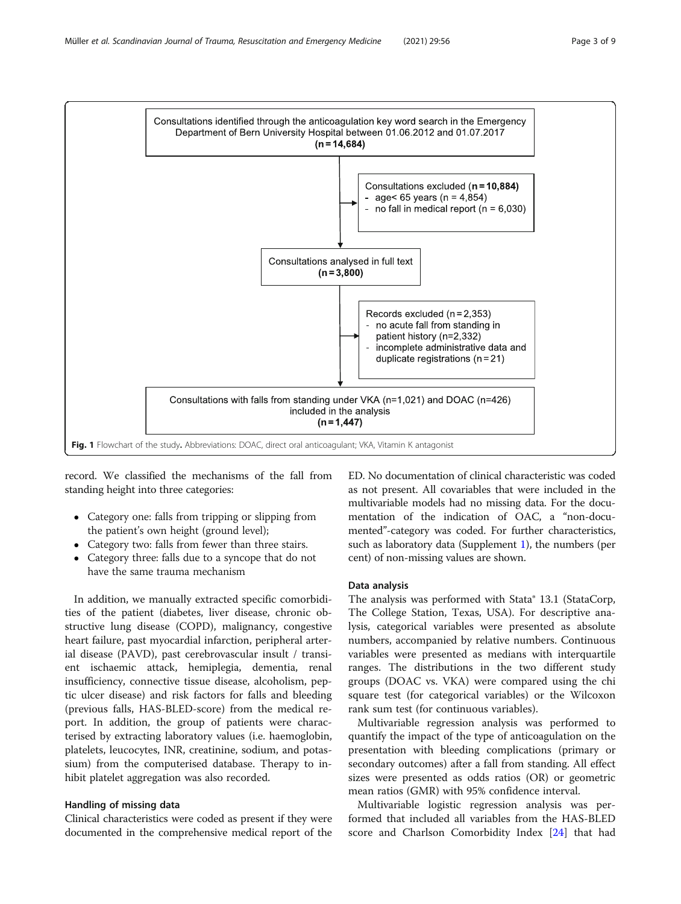<span id="page-2-0"></span>

record. We classified the mechanisms of the fall from standing height into three categories:

- Category one: falls from tripping or slipping from the patient's own height (ground level);
- Category two: falls from fewer than three stairs.
- Category three: falls due to a syncope that do not have the same trauma mechanism

In addition, we manually extracted specific comorbidities of the patient (diabetes, liver disease, chronic obstructive lung disease (COPD), malignancy, congestive heart failure, past myocardial infarction, peripheral arterial disease (PAVD), past cerebrovascular insult / transient ischaemic attack, hemiplegia, dementia, renal insufficiency, connective tissue disease, alcoholism, peptic ulcer disease) and risk factors for falls and bleeding (previous falls, HAS-BLED-score) from the medical report. In addition, the group of patients were characterised by extracting laboratory values (i.e. haemoglobin, platelets, leucocytes, INR, creatinine, sodium, and potassium) from the computerised database. Therapy to inhibit platelet aggregation was also recorded.

## Handling of missing data

Clinical characteristics were coded as present if they were documented in the comprehensive medical report of the

ED. No documentation of clinical characteristic was coded as not present. All covariables that were included in the multivariable models had no missing data. For the documentation of the indication of OAC, a "non-documented"-category was coded. For further characteristics, such as laboratory data (Supplement [1](#page-7-0)), the numbers (per cent) of non-missing values are shown.

## Data analysis

The analysis was performed with Stata® 13.1 (StataCorp, The College Station, Texas, USA). For descriptive analysis, categorical variables were presented as absolute numbers, accompanied by relative numbers. Continuous variables were presented as medians with interquartile ranges. The distributions in the two different study groups (DOAC vs. VKA) were compared using the chi square test (for categorical variables) or the Wilcoxon rank sum test (for continuous variables).

Multivariable regression analysis was performed to quantify the impact of the type of anticoagulation on the presentation with bleeding complications (primary or secondary outcomes) after a fall from standing. All effect sizes were presented as odds ratios (OR) or geometric mean ratios (GMR) with 95% confidence interval.

Multivariable logistic regression analysis was performed that included all variables from the HAS-BLED score and Charlson Comorbidity Index [[24](#page-8-0)] that had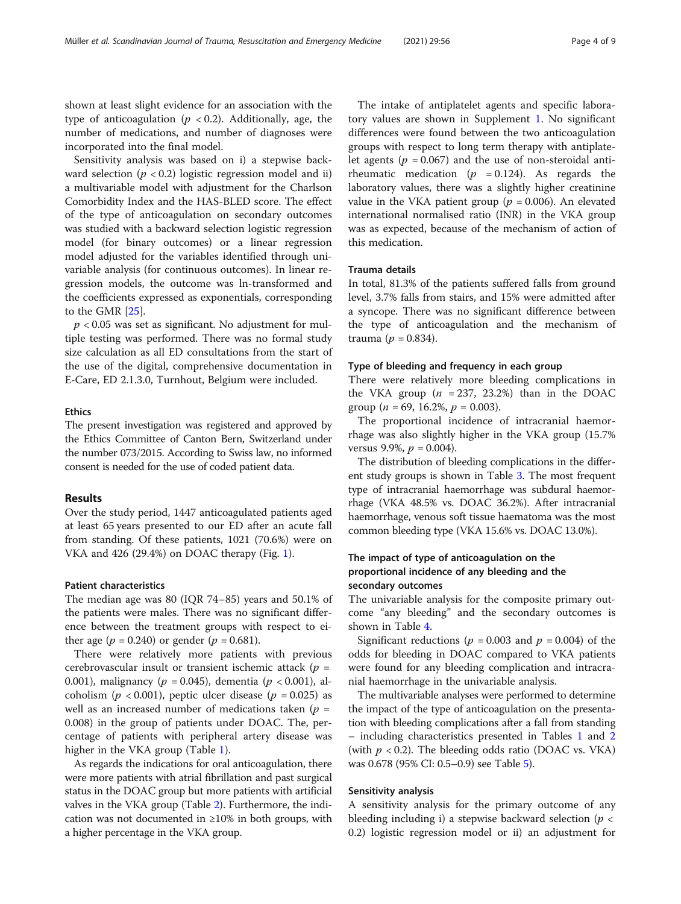shown at least slight evidence for an association with the type of anticoagulation ( $p < 0.2$ ). Additionally, age, the number of medications, and number of diagnoses were incorporated into the final model.

Sensitivity analysis was based on i) a stepwise backward selection ( $p < 0.2$ ) logistic regression model and ii) a multivariable model with adjustment for the Charlson Comorbidity Index and the HAS-BLED score. The effect of the type of anticoagulation on secondary outcomes was studied with a backward selection logistic regression model (for binary outcomes) or a linear regression model adjusted for the variables identified through univariable analysis (for continuous outcomes). In linear regression models, the outcome was ln-transformed and the coefficients expressed as exponentials, corresponding to the GMR [\[25](#page-8-0)].

 $p < 0.05$  was set as significant. No adjustment for multiple testing was performed. There was no formal study size calculation as all ED consultations from the start of the use of the digital, comprehensive documentation in E-Care, ED 2.1.3.0, Turnhout, Belgium were included.

## Ethics

The present investigation was registered and approved by the Ethics Committee of Canton Bern, Switzerland under the number 073/2015. According to Swiss law, no informed consent is needed for the use of coded patient data.

## Results

Over the study period, 1447 anticoagulated patients aged at least 65 years presented to our ED after an acute fall from standing. Of these patients, 1021 (70.6%) were on VKA and 426 (29.4%) on DOAC therapy (Fig. [1](#page-2-0)).

## Patient characteristics

The median age was 80 (IQR 74–85) years and 50.1% of the patients were males. There was no significant difference between the treatment groups with respect to either age ( $p = 0.240$ ) or gender ( $p = 0.681$ ).

There were relatively more patients with previous cerebrovascular insult or transient ischemic attack ( $p =$ 0.001), malignancy ( $p = 0.045$ ), dementia ( $p < 0.001$ ), alcoholism ( $p < 0.001$ ), peptic ulcer disease ( $p = 0.025$ ) as well as an increased number of medications taken ( $p =$ 0.008) in the group of patients under DOAC. The, percentage of patients with peripheral artery disease was higher in the VKA group (Table [1\)](#page-4-0).

As regards the indications for oral anticoagulation, there were more patients with atrial fibrillation and past surgical status in the DOAC group but more patients with artificial valves in the VKA group (Table [2](#page-4-0)). Furthermore, the indication was not documented in  $\geq 10\%$  in both groups, with a higher percentage in the VKA group.

The intake of antiplatelet agents and specific laboratory values are shown in Supplement [1](#page-7-0). No significant differences were found between the two anticoagulation groups with respect to long term therapy with antiplatelet agents ( $p = 0.067$ ) and the use of non-steroidal antirheumatic medication ( $p = 0.124$ ). As regards the laboratory values, there was a slightly higher creatinine value in the VKA patient group ( $p = 0.006$ ). An elevated international normalised ratio (INR) in the VKA group was as expected, because of the mechanism of action of this medication.

## Trauma details

In total, 81.3% of the patients suffered falls from ground level, 3.7% falls from stairs, and 15% were admitted after a syncope. There was no significant difference between the type of anticoagulation and the mechanism of trauma ( $p = 0.834$ ).

## Type of bleeding and frequency in each group

There were relatively more bleeding complications in the VKA group  $(n = 237, 23.2%)$  than in the DOAC group ( $n = 69$ , 16.2%,  $p = 0.003$ ).

The proportional incidence of intracranial haemorrhage was also slightly higher in the VKA group (15.7% versus 9.9%,  $p = 0.004$ ).

The distribution of bleeding complications in the different study groups is shown in Table [3.](#page-5-0) The most frequent type of intracranial haemorrhage was subdural haemorrhage (VKA 48.5% vs. DOAC 36.2%). After intracranial haemorrhage, venous soft tissue haematoma was the most common bleeding type (VKA 15.6% vs. DOAC 13.0%).

## The impact of type of anticoagulation on the proportional incidence of any bleeding and the secondary outcomes

The univariable analysis for the composite primary outcome "any bleeding" and the secondary outcomes is shown in Table [4.](#page-5-0)

Significant reductions ( $p = 0.003$  and  $p = 0.004$ ) of the odds for bleeding in DOAC compared to VKA patients were found for any bleeding complication and intracranial haemorrhage in the univariable analysis.

The multivariable analyses were performed to determine the impact of the type of anticoagulation on the presentation with bleeding complications after a fall from standing – including characteristics presented in Tables [1](#page-4-0) and [2](#page-4-0) (with  $p < 0.2$ ). The bleeding odds ratio (DOAC vs. VKA) was 0.678 (95% CI: 0.5–0.9) see Table [5\)](#page-6-0).

## Sensitivity analysis

A sensitivity analysis for the primary outcome of any bleeding including i) a stepwise backward selection ( $p <$ 0.2) logistic regression model or ii) an adjustment for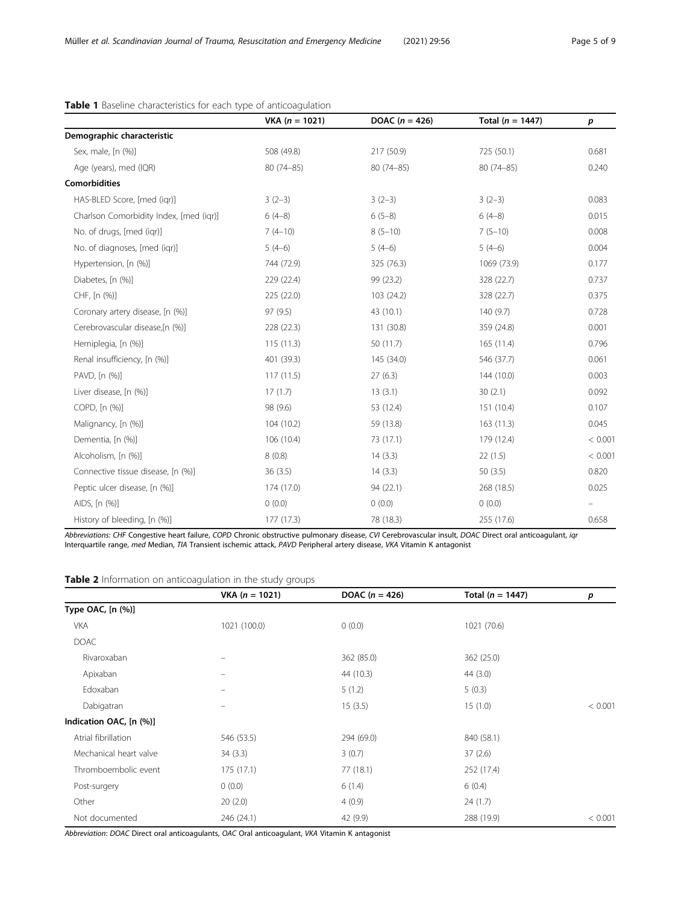|                                         | VKA $(n = 1021)$ | DOAC $(n = 426)$ | Total ( $n = 1447$ ) | p       |
|-----------------------------------------|------------------|------------------|----------------------|---------|
| Demographic characteristic              |                  |                  |                      |         |
| Sex, male, [n (%)]                      | 508 (49.8)       | 217 (50.9)       | 725 (50.1)           | 0.681   |
| Age (years), med (IQR)                  | $80(74 - 85)$    | $80(74 - 85)$    | 80 (74-85)           | 0.240   |
| <b>Comorbidities</b>                    |                  |                  |                      |         |
| HAS-BLED Score, [med (igr)]             | $3(2-3)$         | $3(2-3)$         | $3(2-3)$             | 0.083   |
| Charlson Comorbidity Index, [med (iqr)] | $6(4-8)$         | $6(5-8)$         | $6(4-8)$             | 0.015   |
| No. of drugs, [med (igr)]               | $7(4-10)$        | $8(5-10)$        | $7(5-10)$            | 0.008   |
| No. of diagnoses, [med (igr)]           | $5(4-6)$         | $5(4-6)$         | $5(4-6)$             | 0.004   |
| Hypertension, [n (%)]                   | 744 (72.9)       | 325 (76.3)       | 1069 (73.9)          | 0.177   |
| Diabetes, [n (%)]                       | 229 (22.4)       | 99 (23.2)        | 328 (22.7)           | 0.737   |
| CHF, [n (%)]                            | 225 (22.0)       | 103 (24.2)       | 328 (22.7)           | 0.375   |
| Coronary artery disease, [n (%)]        | 97 (9.5)         | 43 (10.1)        | 140(9.7)             | 0.728   |
| Cerebrovascular disease,[n (%)]         | 228(22.3)        | 131 (30.8)       | 359 (24.8)           | 0.001   |
| Hemiplegia, [n (%)]                     | 115(11.3)        | 50 (11.7)        | 165(11.4)            | 0.796   |
| Renal insufficiency, [n (%)]            | 401 (39.3)       | 145 (34.0)       | 546 (37.7)           | 0.061   |
| PAVD, [n (%)]                           | 117(11.5)        | 27(6.3)          | 144 (10.0)           | 0.003   |
| Liver disease, [n (%)]                  | 17(1.7)          | 13(3.1)          | 30(2.1)              | 0.092   |
| COPD, [n (%)]                           | 98 (9.6)         | 53 (12.4)        | 151 (10.4)           | 0.107   |
| Malignancy, [n (%)]                     | 104 (10.2)       | 59 (13.8)        | 163(11.3)            | 0.045   |
| Dementia, [n (%)]                       | 106 (10.4)       | 73 (17.1)        | 179 (12.4)           | < 0.001 |
| Alcoholism, [n (%)]                     | 8(0.8)           | 14(3.3)          | 22(1.5)              | < 0.001 |
| Connective tissue disease, [n (%)]      | 36(3.5)          | 14(3.3)          | 50 $(3.5)$           | 0.820   |
| Peptic ulcer disease, [n (%)]           | 174 (17.0)       | 94 (22.1)        | 268 (18.5)           | 0.025   |
| AIDS, [n (%)]                           | 0(0.0)           | 0(0.0)           | 0(0.0)               |         |
| History of bleeding, [n (%)]            | 177 (17.3)       | 78 (18.3)        | 255 (17.6)           | 0.658   |

## <span id="page-4-0"></span>Table 1 Baseline characteristics for each type of anticoagulation

Abbreviations: CHF Congestive heart failure, COPD Chronic obstructive pulmonary disease, CVI Cerebrovascular insult, DOAC Direct oral anticoagulant, iqr Interquartile range, med Median, TIA Transient ischemic attack, PAVD Peripheral artery disease, VKA Vitamin K antagonist

Table 2 Information on anticoagulation in the study groups

|                         | $VKA (n = 1021)$ | DOAC $(n = 426)$ | Total ( $n = 1447$ ) | р       |
|-------------------------|------------------|------------------|----------------------|---------|
| Type OAC, [n (%)]       |                  |                  |                      |         |
| <b>VKA</b>              | 1021 (100.0)     | 0(0.0)           | 1021 (70.6)          |         |
| <b>DOAC</b>             |                  |                  |                      |         |
| Rivaroxaban             |                  | 362 (85.0)       | 362 (25.0)           |         |
| Apixaban                |                  | 44 (10.3)        | 44 (3.0)             |         |
| Edoxaban                |                  | 5(1.2)           | 5(0.3)               |         |
| Dabigatran              |                  | 15(3.5)          | 15(1.0)              | < 0.001 |
| Indication OAC, [n (%)] |                  |                  |                      |         |
| Atrial fibrillation     | 546 (53.5)       | 294 (69.0)       | 840 (58.1)           |         |
| Mechanical heart valve  | 34(3.3)          | 3(0.7)           | 37(2.6)              |         |
| Thromboembolic event    | 175(17.1)        | 77 (18.1)        | 252 (17.4)           |         |
| Post-surgery            | 0(0.0)           | 6(1.4)           | 6(0.4)               |         |
| Other                   | 20(2.0)          | 4(0.9)           | 24(1.7)              |         |
| Not documented          | 246 (24.1)       | 42 (9.9)         | 288 (19.9)           | < 0.001 |

Abbreviation: DOAC Direct oral anticoagulants, OAC Oral anticoagulant, VKA Vitamin K antagonist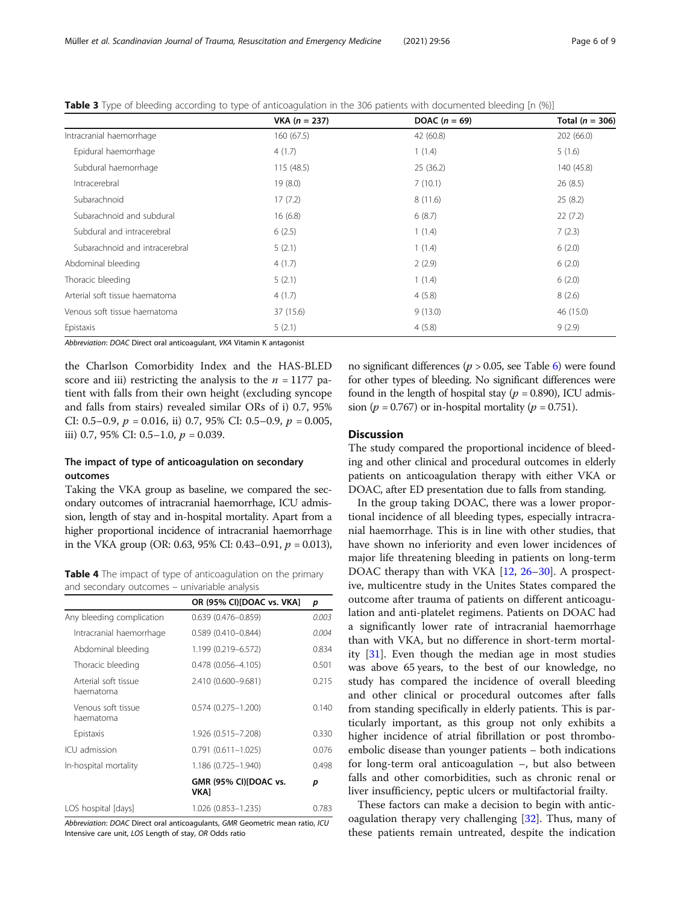|                                | $VKA (n = 237)$ | DOAC $(n = 69)$ | Total ( $n = 306$ ) |
|--------------------------------|-----------------|-----------------|---------------------|
| Intracranial haemorrhage       | 160(67.5)       | 42 (60.8)       | 202 (66.0)          |
| Epidural haemorrhage           | 4(1.7)          | 1(1.4)          | 5(1.6)              |
| Subdural haemorrhage           | 115 (48.5)      | 25(36.2)        | 140 (45.8)          |
| Intracerebral                  | 19(8.0)         | 7(10.1)         | 26(8.5)             |
| Subarachnoid                   | 17(7.2)         | 8(11.6)         | 25(8.2)             |
| Subarachnoid and subdural      | 16(6.8)         | 6(8.7)          | 22(7.2)             |
| Subdural and intracerebral     | 6(2.5)          | 1(1.4)          | 7(2.3)              |
| Subarachnoid and intracerebral | 5(2.1)          | 1(1.4)          | 6(2.0)              |
| Abdominal bleeding             | 4(1.7)          | 2(2.9)          | 6(2.0)              |
| Thoracic bleeding              | 5(2.1)          | 1(1.4)          | 6(2.0)              |
| Arterial soft tissue haematoma | 4(1.7)          | 4(5.8)          | 8(2.6)              |
| Venous soft tissue haematoma   | 37 (15.6)       | 9(13.0)         | 46 (15.0)           |
| Epistaxis                      | 5(2.1)          | 4(5.8)          | 9(2.9)              |

<span id="page-5-0"></span>**Table 3** Type of bleeding according to type of anticoagulation in the 306 patients with documented bleeding [n (%)]

Abbreviation: DOAC Direct oral anticoagulant, VKA Vitamin K antagonist

the Charlson Comorbidity Index and the HAS-BLED score and iii) restricting the analysis to the  $n = 1177$  patient with falls from their own height (excluding syncope and falls from stairs) revealed similar ORs of i) 0.7, 95% CI: 0.5–0.9,  $p = 0.016$ , ii) 0.7, 95% CI: 0.5–0.9,  $p = 0.005$ , iii) 0.7, 95% CI: 0.5–1.0,  $p = 0.039$ .

## The impact of type of anticoagulation on secondary outcomes

Taking the VKA group as baseline, we compared the secondary outcomes of intracranial haemorrhage, ICU admission, length of stay and in-hospital mortality. Apart from a higher proportional incidence of intracranial haemorrhage in the VKA group (OR: 0.63, 95% CI: 0.43–0.91,  $p = 0.013$ ),

Table 4 The impact of type of anticoagulation on the primary and secondary outcomes – univariable analysis

|                                   | OR (95% CI)[DOAC vs. VKA]            | p     |  |
|-----------------------------------|--------------------------------------|-------|--|
| Any bleeding complication         | $0.639(0.476 - 0.859)$               | 0.003 |  |
| Intracranial haemorrhage          | $0.589(0.410 - 0.844)$               | 0.004 |  |
| Abdominal bleeding                | 1.199 (0.219-6.572)                  | 0.834 |  |
| Thoracic bleeding                 | $0.478(0.056 - 4.105)$               | 0.501 |  |
| Arterial soft tissue<br>haematoma | 2.410 (0.600-9.681)                  | 0.215 |  |
| Venous soft tissue<br>haematoma   | $0.574(0.275 - 1.200)$               | 0.140 |  |
| Epistaxis                         | 1.926 (0.515-7.208)                  | 0.330 |  |
| ICU admission                     | $0.791(0.611 - 1.025)$               | 0.076 |  |
| In-hospital mortality             | 1.186 (0.725-1.940)                  | 0.498 |  |
|                                   | GMR (95% CI)[DOAC vs.<br><b>VKA1</b> | р     |  |
| LOS hospital [days]               | 1.026 (0.853-1.235)                  | 0.783 |  |

Abbreviation: DOAC Direct oral anticoagulants, GMR Geometric mean ratio, ICU Intensive care unit, LOS Length of stay, OR Odds ratio

no significant differences ( $p > 0.05$ , see Table [6](#page-6-0)) were found for other types of bleeding. No significant differences were found in the length of hospital stay ( $p = 0.890$ ), ICU admission ( $p = 0.767$ ) or in-hospital mortality ( $p = 0.751$ ).

## **Discussion**

The study compared the proportional incidence of bleeding and other clinical and procedural outcomes in elderly patients on anticoagulation therapy with either VKA or DOAC, after ED presentation due to falls from standing.

In the group taking DOAC, there was a lower proportional incidence of all bleeding types, especially intracranial haemorrhage. This is in line with other studies, that have shown no inferiority and even lower incidences of major life threatening bleeding in patients on long-term DOAC therapy than with VKA [\[12,](#page-7-0) [26](#page-8-0)–[30](#page-8-0)]. A prospective, multicentre study in the Unites States compared the outcome after trauma of patients on different anticoagulation and anti-platelet regimens. Patients on DOAC had a significantly lower rate of intracranial haemorrhage than with VKA, but no difference in short-term mortality [[31\]](#page-8-0). Even though the median age in most studies was above 65 years, to the best of our knowledge, no study has compared the incidence of overall bleeding and other clinical or procedural outcomes after falls from standing specifically in elderly patients. This is particularly important, as this group not only exhibits a higher incidence of atrial fibrillation or post thromboembolic disease than younger patients – both indications for long-term oral anticoagulation –, but also between falls and other comorbidities, such as chronic renal or liver insufficiency, peptic ulcers or multifactorial frailty.

These factors can make a decision to begin with anticoagulation therapy very challenging [\[32\]](#page-8-0). Thus, many of these patients remain untreated, despite the indication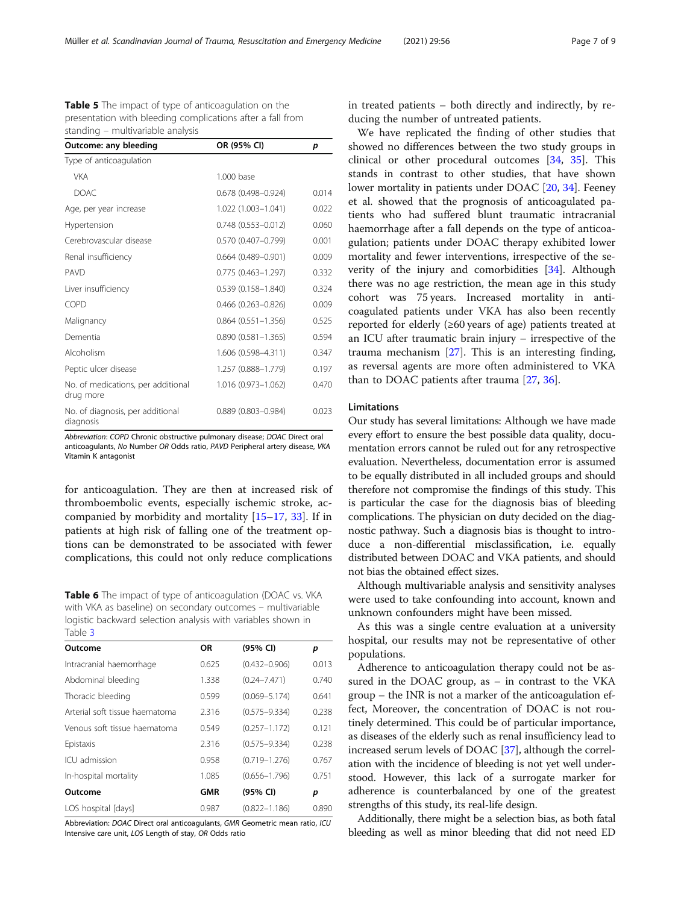<span id="page-6-0"></span>Table 5 The impact of type of anticoagulation on the presentation with bleeding complications after a fall from standing – multivariable analysis

| Outcome: any bleeding                           | OR (95% CI)               | p     |  |
|-------------------------------------------------|---------------------------|-------|--|
| Type of anticoagulation                         |                           |       |  |
| <b>VKA</b>                                      | 1.000 base                |       |  |
| <b>DOAC</b>                                     | $0.678(0.498 - 0.924)$    | 0.014 |  |
| Age, per year increase                          | 1.022 (1.003-1.041)       | 0.022 |  |
| Hypertension                                    | $0.748(0.553 - 0.012)$    | 0.060 |  |
| Cerebrovascular disease                         | $0.570(0.407 - 0.799)$    | 0.001 |  |
| Renal insufficiency                             | $0.664$ $(0.489 - 0.901)$ | 0.009 |  |
| PAVD                                            | $0.775(0.463 - 1.297)$    | 0.332 |  |
| Liver insufficiency                             | $0.539(0.158 - 1.840)$    | 0.324 |  |
| COPD                                            | $0.466$ (0.263-0.826)     | 0.009 |  |
| Malignancy                                      | $0.864$ $(0.551 - 1.356)$ | 0.525 |  |
| Dementia                                        | $0.890(0.581 - 1.365)$    | 0.594 |  |
| Alcoholism                                      | 1.606 (0.598-4.311)       | 0.347 |  |
| Peptic ulcer disease                            | 1.257 (0.888-1.779)       | 0.197 |  |
| No. of medications, per additional<br>drug more | 1.016 (0.973-1.062)       | 0.470 |  |
| No. of diagnosis, per additional<br>diagnosis   | $0.889$ $(0.803 - 0.984)$ | 0.023 |  |

Abbreviation: COPD Chronic obstructive pulmonary disease; DOAC Direct oral anticoagulants, No Number OR Odds ratio, PAVD Peripheral artery disease, VKA Vitamin K antagonist

for anticoagulation. They are then at increased risk of thromboembolic events, especially ischemic stroke, accompanied by morbidity and mortality [\[15](#page-8-0)–[17,](#page-8-0) [33](#page-8-0)]. If in patients at high risk of falling one of the treatment options can be demonstrated to be associated with fewer complications, this could not only reduce complications

Table 6 The impact of type of anticoagulation (DOAC vs. VKA with VKA as baseline) on secondary outcomes – multivariable logistic backward selection analysis with variables shown in Table [3](#page-5-0)

| Outcome                        | ΟR         | (95% CI)          | p     |
|--------------------------------|------------|-------------------|-------|
| Intracranial haemorrhage       | 0.625      | $(0.432 - 0.906)$ | 0.013 |
| Abdominal bleeding             | 1.338      | $(0.24 - 7.471)$  | 0.740 |
| Thoracic bleeding              | 0.599      | $(0.069 - 5.174)$ | 0.641 |
| Arterial soft tissue haematoma | 2.316      | $(0.575 - 9.334)$ | 0.238 |
| Venous soft tissue haematoma   | 0.549      | $(0.257 - 1.172)$ | 0.121 |
| Epistaxis                      | 2.316      | $(0.575 - 9.334)$ | 0.238 |
| ICU admission                  | 0.958      | $(0.719 - 1.276)$ | 0.767 |
| In-hospital mortality          | 1.085      | $(0.656 - 1.796)$ | 0.751 |
| Outcome                        | <b>GMR</b> | (95% CI)          | р     |
| LOS hospital [days]            | 0.987      | $(0.822 - 1.186)$ | 0.890 |

Abbreviation: DOAC Direct oral anticoagulants, GMR Geometric mean ratio, ICU Intensive care unit, LOS Length of stay, OR Odds ratio

in treated patients – both directly and indirectly, by reducing the number of untreated patients.

We have replicated the finding of other studies that showed no differences between the two study groups in clinical or other procedural outcomes [\[34,](#page-8-0) [35\]](#page-8-0). This stands in contrast to other studies, that have shown lower mortality in patients under DOAC [[20](#page-8-0), [34](#page-8-0)]. Feeney et al. showed that the prognosis of anticoagulated patients who had suffered blunt traumatic intracranial haemorrhage after a fall depends on the type of anticoagulation; patients under DOAC therapy exhibited lower mortality and fewer interventions, irrespective of the severity of the injury and comorbidities [\[34](#page-8-0)]. Although there was no age restriction, the mean age in this study cohort was 75 years. Increased mortality in anticoagulated patients under VKA has also been recently reported for elderly (≥60 years of age) patients treated at an ICU after traumatic brain injury – irrespective of the trauma mechanism [[27](#page-8-0)]. This is an interesting finding, as reversal agents are more often administered to VKA than to DOAC patients after trauma [\[27](#page-8-0), [36](#page-8-0)].

## Limitations

Our study has several limitations: Although we have made every effort to ensure the best possible data quality, documentation errors cannot be ruled out for any retrospective evaluation. Nevertheless, documentation error is assumed to be equally distributed in all included groups and should therefore not compromise the findings of this study. This is particular the case for the diagnosis bias of bleeding complications. The physician on duty decided on the diagnostic pathway. Such a diagnosis bias is thought to introduce a non-differential misclassification, i.e. equally distributed between DOAC and VKA patients, and should not bias the obtained effect sizes.

Although multivariable analysis and sensitivity analyses were used to take confounding into account, known and unknown confounders might have been missed.

As this was a single centre evaluation at a university hospital, our results may not be representative of other populations.

Adherence to anticoagulation therapy could not be assured in the DOAC group, as – in contrast to the VKA group – the INR is not a marker of the anticoagulation effect, Moreover, the concentration of DOAC is not routinely determined. This could be of particular importance, as diseases of the elderly such as renal insufficiency lead to increased serum levels of DOAC [\[37\]](#page-8-0), although the correlation with the incidence of bleeding is not yet well understood. However, this lack of a surrogate marker for adherence is counterbalanced by one of the greatest strengths of this study, its real-life design.

Additionally, there might be a selection bias, as both fatal bleeding as well as minor bleeding that did not need ED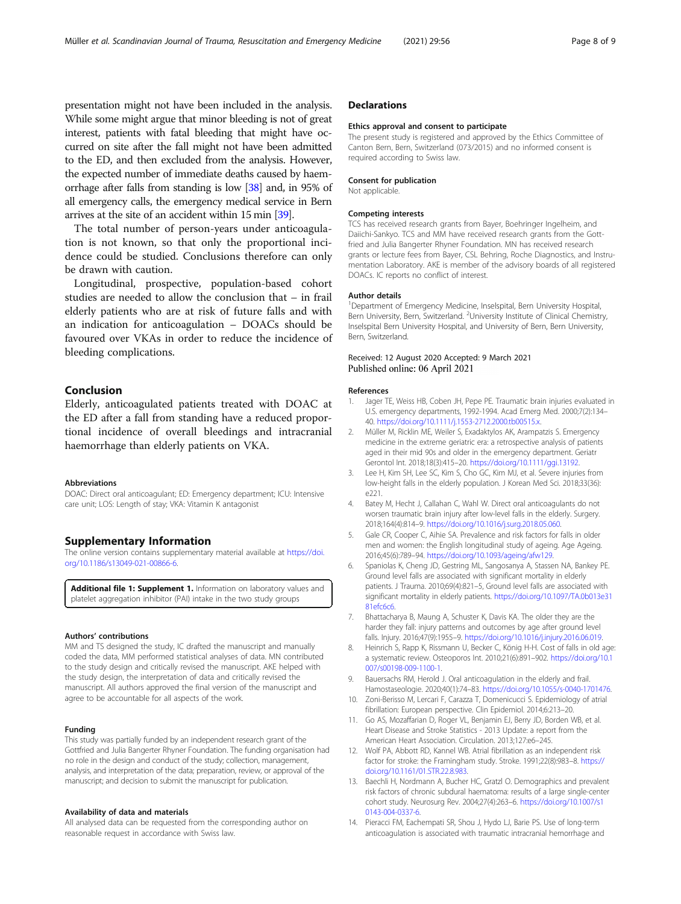<span id="page-7-0"></span>presentation might not have been included in the analysis. While some might argue that minor bleeding is not of great interest, patients with fatal bleeding that might have occurred on site after the fall might not have been admitted to the ED, and then excluded from the analysis. However, the expected number of immediate deaths caused by haemorrhage after falls from standing is low [\[38\]](#page-8-0) and, in 95% of all emergency calls, the emergency medical service in Bern arrives at the site of an accident within 15 min [\[39](#page-8-0)].

The total number of person-years under anticoagulation is not known, so that only the proportional incidence could be studied. Conclusions therefore can only be drawn with caution.

Longitudinal, prospective, population-based cohort studies are needed to allow the conclusion that – in frail elderly patients who are at risk of future falls and with an indication for anticoagulation – DOACs should be favoured over VKAs in order to reduce the incidence of bleeding complications.

## Conclusion

Elderly, anticoagulated patients treated with DOAC at the ED after a fall from standing have a reduced proportional incidence of overall bleedings and intracranial haemorrhage than elderly patients on VKA.

#### Abbreviations

DOAC: Direct oral anticoagulant; ED: Emergency department; ICU: Intensive care unit; LOS: Length of stay; VKA: Vitamin K antagonist

#### Supplementary Information

The online version contains supplementary material available at [https://doi.](https://doi.org/10.1186/s13049-021-00866-6) [org/10.1186/s13049-021-00866-6.](https://doi.org/10.1186/s13049-021-00866-6)

Additional file 1: Supplement 1. Information on laboratory values and platelet aggregation inhibitor (PAI) intake in the two study groups

#### Authors' contributions

MM and TS designed the study, IC drafted the manuscript and manually coded the data, MM performed statistical analyses of data. MN contributed to the study design and critically revised the manuscript. AKE helped with the study design, the interpretation of data and critically revised the manuscript. All authors approved the final version of the manuscript and agree to be accountable for all aspects of the work.

#### Funding

This study was partially funded by an independent research grant of the Gottfried and Julia Bangerter Rhyner Foundation. The funding organisation had no role in the design and conduct of the study; collection, management, analysis, and interpretation of the data; preparation, review, or approval of the manuscript; and decision to submit the manuscript for publication.

#### Availability of data and materials

All analysed data can be requested from the corresponding author on reasonable request in accordance with Swiss law.

## **Declarations**

#### Ethics approval and consent to participate

The present study is registered and approved by the Ethics Committee of Canton Bern, Bern, Switzerland (073/2015) and no informed consent is required according to Swiss law.

#### Consent for publication

Not applicable.

#### Competing interests

TCS has received research grants from Bayer, Boehringer Ingelheim, and Daiichi-Sankyo. TCS and MM have received research grants from the Gottfried and Julia Bangerter Rhyner Foundation. MN has received research grants or lecture fees from Bayer, CSL Behring, Roche Diagnostics, and Instrumentation Laboratory. AKE is member of the advisory boards of all registered DOACs. IC reports no conflict of interest.

#### Author details

<sup>1</sup>Department of Emergency Medicine, Inselspital, Bern University Hospital Bern University, Bern, Switzerland. <sup>2</sup>University Institute of Clinical Chemistry, Inselspital Bern University Hospital, and University of Bern, Bern University, Bern, Switzerland.

#### Received: 12 August 2020 Accepted: 9 March 2021 Published online: 06 April 2021

#### References

- 1. Jager TE, Weiss HB, Coben JH, Pepe PE. Traumatic brain injuries evaluated in U.S. emergency departments, 1992-1994. Acad Emerg Med. 2000;7(2):134– 40. <https://doi.org/10.1111/j.1553-2712.2000.tb00515.x>.
- 2. Müller M, Ricklin ME, Weiler S, Exadaktylos AK, Arampatzis S. Emergency medicine in the extreme geriatric era: a retrospective analysis of patients aged in their mid 90s and older in the emergency department. Geriatr Gerontol Int. 2018;18(3):415–20. <https://doi.org/10.1111/ggi.13192>.
- 3. Lee H, Kim SH, Lee SC, Kim S, Cho GC, Kim MJ, et al. Severe injuries from low-height falls in the elderly population. J Korean Med Sci. 2018;33(36): e221.
- 4. Batey M, Hecht J, Callahan C, Wahl W. Direct oral anticoagulants do not worsen traumatic brain injury after low-level falls in the elderly. Surgery. 2018;164(4):814–9. <https://doi.org/10.1016/j.surg.2018.05.060>.
- 5. Gale CR, Cooper C, Aihie SA. Prevalence and risk factors for falls in older men and women: the English longitudinal study of ageing. Age Ageing. 2016;45(6):789–94. <https://doi.org/10.1093/ageing/afw129>.
- 6. Spaniolas K, Cheng JD, Gestring ML, Sangosanya A, Stassen NA, Bankey PE. Ground level falls are associated with significant mortality in elderly patients. J Trauma. 2010;69(4):821–5, Ground level falls are associated with significant mortality in elderly patients. [https://doi.org/10.1097/TA.0b013e31](https://doi.org/10.1097/TA.0b013e3181efc6c6) [81efc6c6.](https://doi.org/10.1097/TA.0b013e3181efc6c6)
- 7. Bhattacharya B, Maung A, Schuster K, Davis KA. The older they are the harder they fall: injury patterns and outcomes by age after ground level falls. Injury. 2016;47(9):1955–9. <https://doi.org/10.1016/j.injury.2016.06.019>.
- 8. Heinrich S, Rapp K, Rissmann U, Becker C, König H-H. Cost of falls in old age: a systematic review. Osteoporos Int. 2010;21(6):891–902. [https://doi.org/10.1](https://doi.org/10.1007/s00198-009-1100-1) [007/s00198-009-1100-1.](https://doi.org/10.1007/s00198-009-1100-1)
- Bauersachs RM, Herold J. Oral anticoagulation in the elderly and frail. Hamostaseologie. 2020;40(1):74–83. <https://doi.org/10.1055/s-0040-1701476>.
- 10. Zoni-Berisso M, Lercari F, Carazza T, Domenicucci S. Epidemiology of atrial fibrillation: European perspective. Clin Epidemiol. 2014;6:213–20.
- 11. Go AS, Mozaffarian D, Roger VL, Benjamin EJ, Berry JD, Borden WB, et al. Heart Disease and Stroke Statistics - 2013 Update: a report from the American Heart Association. Circulation. 2013;127:e6–245.
- 12. Wolf PA, Abbott RD, Kannel WB. Atrial fibrillation as an independent risk factor for stroke: the Framingham study. Stroke. 1991;22(8):983–8. [https://](https://doi.org/10.1161/01.STR.22.8.983) [doi.org/10.1161/01.STR.22.8.983](https://doi.org/10.1161/01.STR.22.8.983).
- 13. Baechli H, Nordmann A, Bucher HC, Gratzl O. Demographics and prevalent risk factors of chronic subdural haematoma: results of a large single-center cohort study. Neurosurg Rev. 2004;27(4):263–6. [https://doi.org/10.1007/s1](https://doi.org/10.1007/s10143-004-0337-6) [0143-004-0337-6.](https://doi.org/10.1007/s10143-004-0337-6)
- 14. Pieracci FM, Eachempati SR, Shou J, Hydo LJ, Barie PS. Use of long-term anticoagulation is associated with traumatic intracranial hemorrhage and